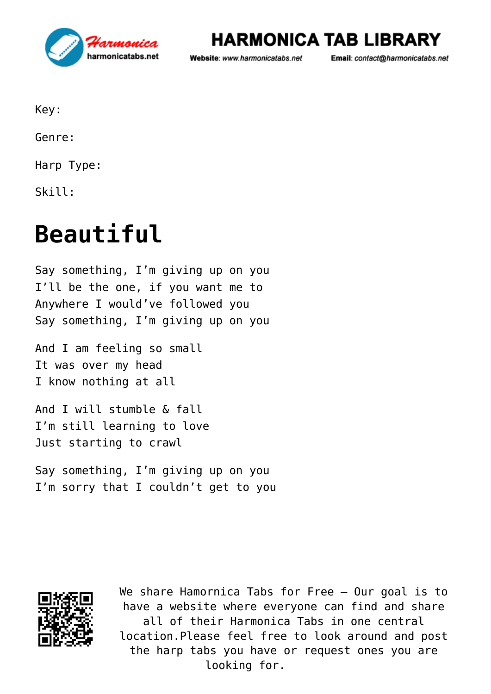

## **HARMONICA TAB LIBRARY**

Website: www.harmonicatabs.net

Email: contact@harmonicatabs.net

Key:

Genre:

Harp Type:

Skill:

## **[Beautiful](https://harmonicatabs.net/tabs/beautiful/)**

Say something, I'm giving up on you I'll be the one, if you want me to Anywhere I would've followed you Say something, I'm giving up on you

And I am feeling so small It was over my head I know nothing at all

And I will stumble & fall I'm still learning to love Just starting to crawl

Say something, I'm giving up on you I'm sorry that I couldn't get to you



We share [Hamornica Tabs](https://harmonicatabs.net/) for Free - Our goal is to have a website where everyone can find and share all of their Harmonica Tabs in one central location.Please feel free to look around and post the harp tabs you have or request ones you are looking for.